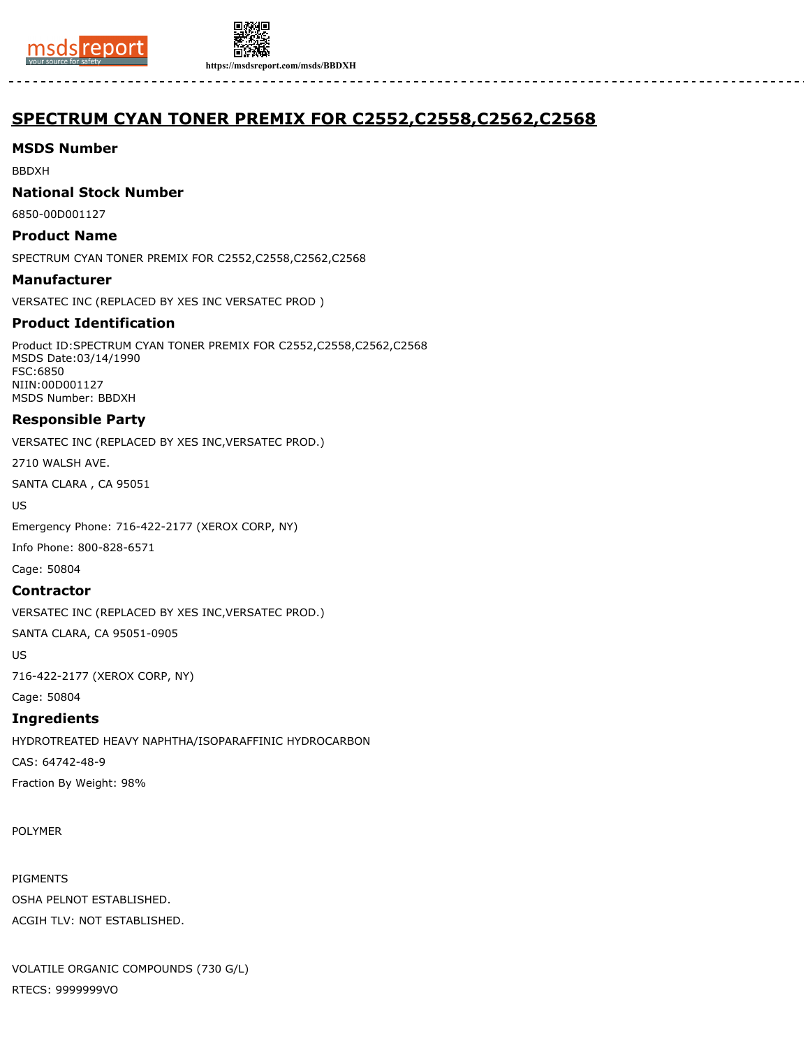



**https://msdsreport.com/msds/BBDXH**

# **SPECTRUM CYAN TONER PREMIX FOR C2552,C2558,C2562,C2568**

## **MSDS Number**

BBDXH

### **National Stock Number**

6850-00D001127

## **Product Name**

SPECTRUM CYAN TONER PREMIX FOR C2552,C2558,C2562,C2568

### **Manufacturer**

VERSATEC INC (REPLACED BY XES INC VERSATEC PROD )

# **Product Identification**

Product ID:SPECTRUM CYAN TONER PREMIX FOR C2552,C2558,C2562,C2568 MSDS Date:03/14/1990 FSC:6850 NIIN:00D001127 MSDS Number: BBDXH

# **Responsible Party**

VERSATEC INC (REPLACED BY XES INC,VERSATEC PROD.)

2710 WALSH AVE.

SANTA CLARA , CA 95051

US

Emergency Phone: 716-422-2177 (XEROX CORP, NY)

Info Phone: 800-828-6571

Cage: 50804

### **Contractor**

VERSATEC INC (REPLACED BY XES INC,VERSATEC PROD.)

SANTA CLARA, CA 95051-0905

US

716-422-2177 (XEROX CORP, NY)

Cage: 50804

### **Ingredients**

HYDROTREATED HEAVY NAPHTHA/ISOPARAFFINIC HYDROCARBON CAS: 64742-48-9 Fraction By Weight: 98%

POLYMER

PIGMENTS OSHA PELNOT ESTABLISHED. ACGIH TLV: NOT ESTABLISHED.

VOLATILE ORGANIC COMPOUNDS (730 G/L) RTECS: 9999999VO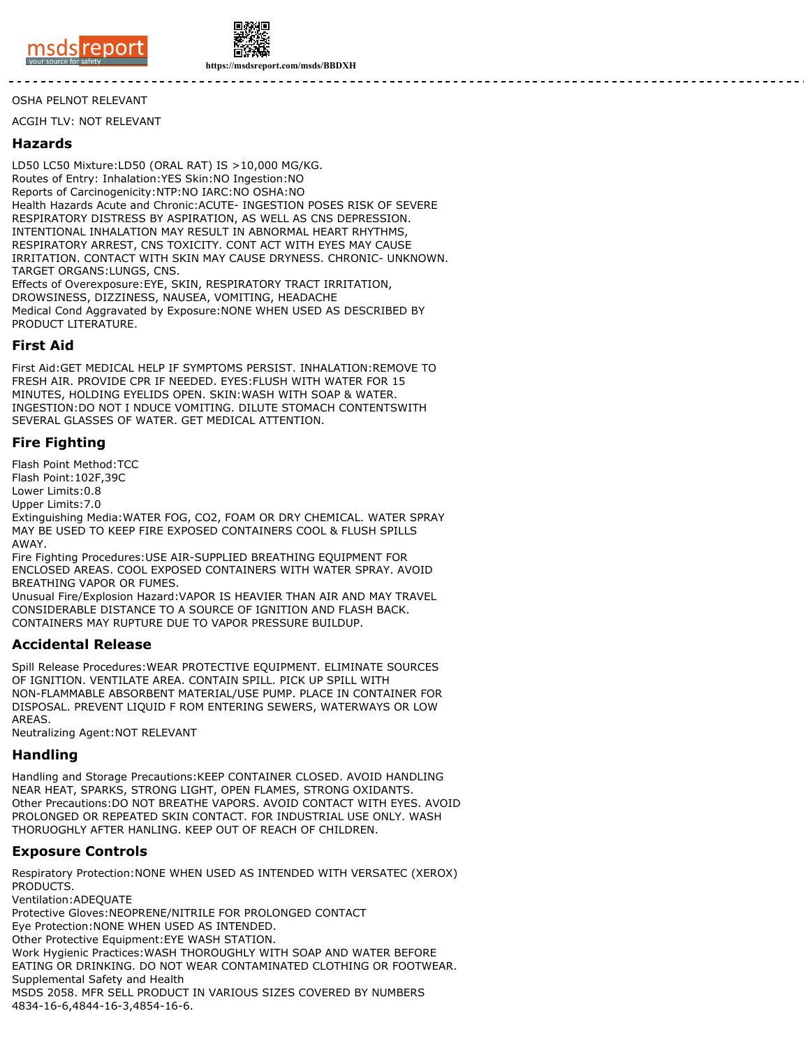



**https://msdsreport.com/msds/BBDXH**

#### OSHA PELNOT RELEVANT

ACGIH TLV: NOT RELEVANT

#### **Hazards**

LD50 LC50 Mixture:LD50 (ORAL RAT) IS >10,000 MG/KG. Routes of Entry: Inhalation:YES Skin:NO Ingestion:NO Reports of Carcinogenicity:NTP:NO IARC:NO OSHA:NO Health Hazards Acute and Chronic:ACUTE- INGESTION POSES RISK OF SEVERE RESPIRATORY DISTRESS BY ASPIRATION, AS WELL AS CNS DEPRESSION. INTENTIONAL INHALATION MAY RESULT IN ABNORMAL HEART RHYTHMS, RESPIRATORY ARREST, CNS TOXICITY. CONT ACT WITH EYES MAY CAUSE IRRITATION. CONTACT WITH SKIN MAY CAUSE DRYNESS. CHRONIC- UNKNOWN. TARGET ORGANS:LUNGS, CNS. Effects of Overexposure:EYE, SKIN, RESPIRATORY TRACT IRRITATION,

DROWSINESS, DIZZINESS, NAUSEA, VOMITING, HEADACHE Medical Cond Aggravated by Exposure:NONE WHEN USED AS DESCRIBED BY PRODUCT LITERATURE.

#### **First Aid**

First Aid:GET MEDICAL HELP IF SYMPTOMS PERSIST. INHALATION:REMOVE TO FRESH AIR. PROVIDE CPR IF NEEDED. EYES:FLUSH WITH WATER FOR 15 MINUTES, HOLDING EYELIDS OPEN. SKIN:WASH WITH SOAP & WATER. INGESTION:DO NOT I NDUCE VOMITING. DILUTE STOMACH CONTENTSWITH SEVERAL GLASSES OF WATER. GET MEDICAL ATTENTION.

### **Fire Fighting**

Flash Point Method:TCC

Flash Point:102F,39C

Lower Limits:0.8

Upper Limits:7.0

Extinguishing Media:WATER FOG, CO2, FOAM OR DRY CHEMICAL. WATER SPRAY MAY BE USED TO KEEP FIRE EXPOSED CONTAINERS COOL & FLUSH SPILLS AWAY.

Fire Fighting Procedures:USE AIR-SUPPLIED BREATHING EQUIPMENT FOR ENCLOSED AREAS. COOL EXPOSED CONTAINERS WITH WATER SPRAY. AVOID BREATHING VAPOR OR FUMES.

Unusual Fire/Explosion Hazard:VAPOR IS HEAVIER THAN AIR AND MAY TRAVEL CONSIDERABLE DISTANCE TO A SOURCE OF IGNITION AND FLASH BACK. CONTAINERS MAY RUPTURE DUE TO VAPOR PRESSURE BUILDUP.

#### **Accidental Release**

Spill Release Procedures:WEAR PROTECTIVE EQUIPMENT. ELIMINATE SOURCES OF IGNITION. VENTILATE AREA. CONTAIN SPILL. PICK UP SPILL WITH NON-FLAMMABLE ABSORBENT MATERIAL/USE PUMP. PLACE IN CONTAINER FOR DISPOSAL. PREVENT LIQUID F ROM ENTERING SEWERS, WATERWAYS OR LOW AREAS.

Neutralizing Agent:NOT RELEVANT

#### **Handling**

Handling and Storage Precautions:KEEP CONTAINER CLOSED. AVOID HANDLING NEAR HEAT, SPARKS, STRONG LIGHT, OPEN FLAMES, STRONG OXIDANTS. Other Precautions:DO NOT BREATHE VAPORS. AVOID CONTACT WITH EYES. AVOID PROLONGED OR REPEATED SKIN CONTACT. FOR INDUSTRIAL USE ONLY. WASH THORUOGHLY AFTER HANLING. KEEP OUT OF REACH OF CHILDREN.

#### **Exposure Controls**

Respiratory Protection:NONE WHEN USED AS INTENDED WITH VERSATEC (XEROX) PRODUCTS.

Ventilation:ADEQUATE

Protective Gloves:NEOPRENE/NITRILE FOR PROLONGED CONTACT

Eye Protection:NONE WHEN USED AS INTENDED.

Other Protective Equipment:EYE WASH STATION.

Work Hygienic Practices:WASH THOROUGHLY WITH SOAP AND WATER BEFORE EATING OR DRINKING. DO NOT WEAR CONTAMINATED CLOTHING OR FOOTWEAR. Supplemental Safety and Health MSDS 2058. MFR SELL PRODUCT IN VARIOUS SIZES COVERED BY NUMBERS

4834-16-6,4844-16-3,4854-16-6.